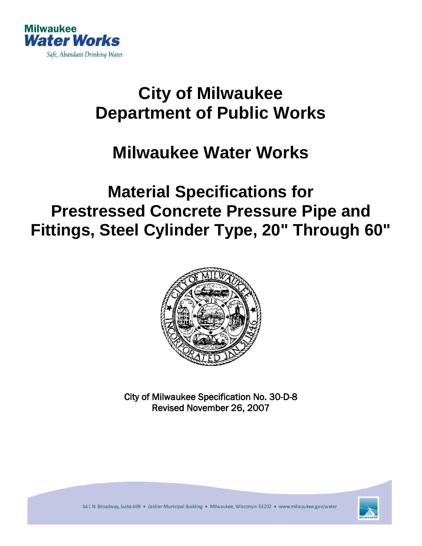

# **City of Milwaukee Department of Public Works**

## **Milwaukee Water Works**

## **Material Specifications for Prestressed Concrete Pressure Pipe and Fittings, Steel Cylinder Type, 20" Through 60"**



City of Milwaukee Specification No. 30-D-8 Revised November 26, 2007

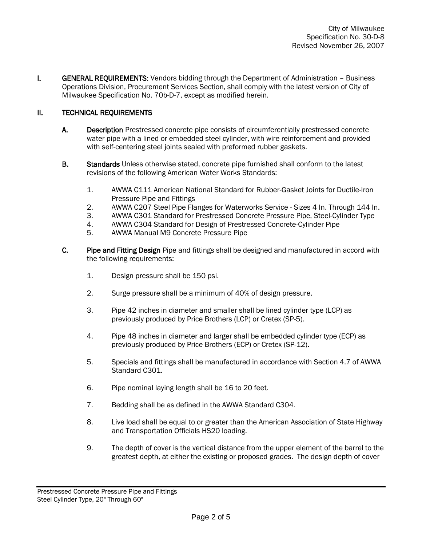**I.** GENERAL REQUIREMENTS: Vendors bidding through the Department of Administration – Business Operations Division, Procurement Services Section, shall comply with the latest version of City of Milwaukee Specification No. 70b-D-7, except as modified herein.

### II. TECHNICAL REQUIREMENTS

- A. Description Prestressed concrete pipe consists of circumferentially prestressed concrete water pipe with a lined or embedded steel cylinder, with wire reinforcement and provided with self-centering steel joints sealed with preformed rubber gaskets.
- B. Standards Unless otherwise stated, concrete pipe furnished shall conform to the latest revisions of the following American Water Works Standards:
	- 1. AWWA C111 American National Standard for Rubber-Gasket Joints for Ductile-Iron Pressure Pipe and Fittings
	- 2. AWWA C207 Steel Pipe Flanges for Waterworks Service Sizes 4 In. Through 144 In.
	- 3. AWWA C301 Standard for Prestressed Concrete Pressure Pipe, Steel-Cylinder Type
	- 4. AWWA C304 Standard for Design of Prestressed Concrete-Cylinder Pipe
	- 5. AWWA Manual M9 Concrete Pressure Pipe
- C. Pipe and Fitting Design Pipe and fittings shall be designed and manufactured in accord with the following requirements:
	- 1. Design pressure shall be 150 psi.
	- 2. Surge pressure shall be a minimum of 40% of design pressure.
	- 3. Pipe 42 inches in diameter and smaller shall be lined cylinder type (LCP) as previously produced by Price Brothers (LCP) or Cretex (SP-5).
	- 4. Pipe 48 inches in diameter and larger shall be embedded cylinder type (ECP) as previously produced by Price Brothers (ECP) or Cretex (SP-12).
	- 5. Specials and fittings shall be manufactured in accordance with Section 4.7 of AWWA Standard C301.
	- 6. Pipe nominal laying length shall be 16 to 20 feet.
	- 7. Bedding shall be as defined in the AWWA Standard C304.
	- 8. Live load shall be equal to or greater than the American Association of State Highway and Transportation Officials HS20 loading.
	- 9. The depth of cover is the vertical distance from the upper element of the barrel to the greatest depth, at either the existing or proposed grades. The design depth of cover

Prestressed Concrete Pressure Pipe and Fittings Steel Cylinder Type, 20" Through 60"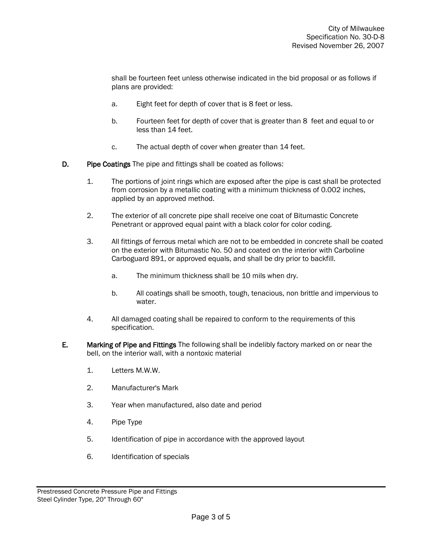shall be fourteen feet unless otherwise indicated in the bid proposal or as follows if plans are provided:

- a. Eight feet for depth of cover that is 8 feet or less.
- b. Fourteen feet for depth of cover that is greater than 8 feet and equal to or less than 14 feet.
- c. The actual depth of cover when greater than 14 feet.
- D. Pipe Coatings The pipe and fittings shall be coated as follows:
	- 1. The portions of joint rings which are exposed after the pipe is cast shall be protected from corrosion by a metallic coating with a minimum thickness of 0.002 inches, applied by an approved method.
	- 2. The exterior of all concrete pipe shall receive one coat of Bitumastic Concrete Penetrant or approved equal paint with a black color for color coding.
	- 3. All fittings of ferrous metal which are not to be embedded in concrete shall be coated on the exterior with Bitumastic No. 50 and coated on the interior with Carboline Carboguard 891, or approved equals, and shall be dry prior to backfill.
		- a. The minimum thickness shall be 10 mils when dry.
		- b. All coatings shall be smooth, tough, tenacious, non brittle and impervious to water.
	- 4. All damaged coating shall be repaired to conform to the requirements of this specification.
- E. Marking of Pipe and Fittings The following shall be indelibly factory marked on or near the bell, on the interior wall, with a nontoxic material
	- 1. Letters M.W.W.
	- 2. Manufacturer's Mark
	- 3. Year when manufactured, also date and period
	- 4. Pipe Type
	- 5. Identification of pipe in accordance with the approved layout
	- 6. Identification of specials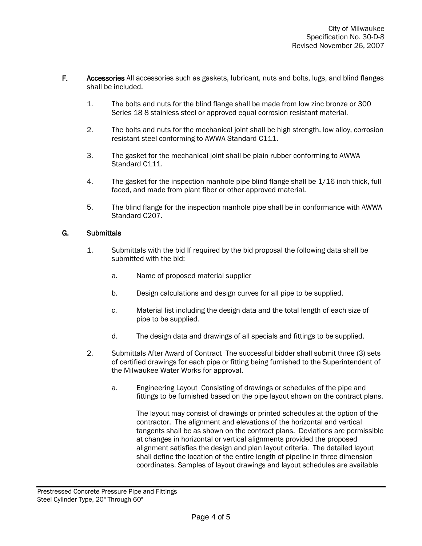- F. Accessories All accessories such as gaskets, lubricant, nuts and bolts, lugs, and blind flanges shall be included.
	- 1. The bolts and nuts for the blind flange shall be made from low zinc bronze or 300 Series 18 8 stainless steel or approved equal corrosion resistant material.
	- 2. The bolts and nuts for the mechanical joint shall be high strength, low alloy, corrosion resistant steel conforming to AWWA Standard C111.
	- 3. The gasket for the mechanical joint shall be plain rubber conforming to AWWA Standard C111.
	- 4. The gasket for the inspection manhole pipe blind flange shall be 1/16 inch thick, full faced, and made from plant fiber or other approved material.
	- 5. The blind flange for the inspection manhole pipe shall be in conformance with AWWA Standard C207.

#### G. Submittals

- 1. Submittals with the bid If required by the bid proposal the following data shall be submitted with the bid:
	- a. Name of proposed material supplier
	- b. Design calculations and design curves for all pipe to be supplied.
	- c. Material list including the design data and the total length of each size of pipe to be supplied.
	- d. The design data and drawings of all specials and fittings to be supplied.
- 2. Submittals After Award of Contract The successful bidder shall submit three (3) sets of certified drawings for each pipe or fitting being furnished to the Superintendent of the Milwaukee Water Works for approval.
	- a. Engineering Layout Consisting of drawings or schedules of the pipe and fittings to be furnished based on the pipe layout shown on the contract plans.

The layout may consist of drawings or printed schedules at the option of the contractor. The alignment and elevations of the horizontal and vertical tangents shall be as shown on the contract plans. Deviations are permissible at changes in horizontal or vertical alignments provided the proposed alignment satisfies the design and plan layout criteria. The detailed layout shall define the location of the entire length of pipeline in three dimension coordinates. Samples of layout drawings and layout schedules are available